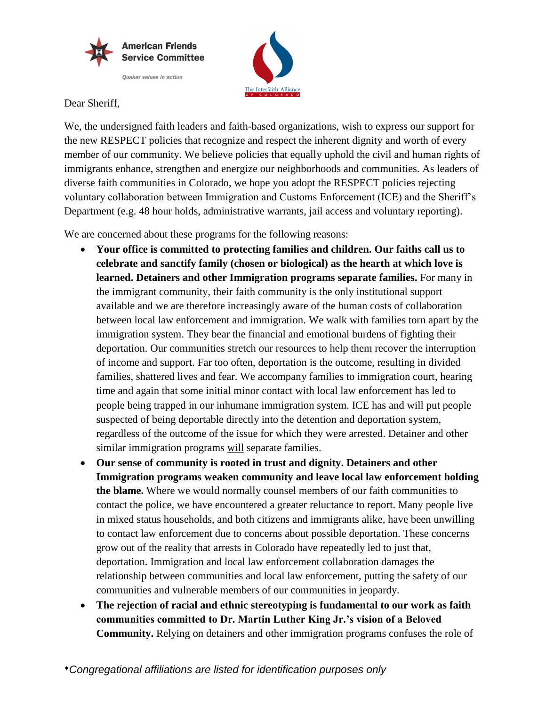



Dear Sheriff,

We, the undersigned faith leaders and faith-based organizations, wish to express our support for the new RESPECT policies that recognize and respect the inherent dignity and worth of every member of our community. We believe policies that equally uphold the civil and human rights of immigrants enhance, strengthen and energize our neighborhoods and communities. As leaders of diverse faith communities in Colorado, we hope you adopt the RESPECT policies rejecting voluntary collaboration between Immigration and Customs Enforcement (ICE) and the Sheriff's Department (e.g. 48 hour holds, administrative warrants, jail access and voluntary reporting).

We are concerned about these programs for the following reasons:

- **Your office is committed to protecting families and children. Our faiths call us to celebrate and sanctify family (chosen or biological) as the hearth at which love is learned. Detainers and other Immigration programs separate families.** For many in the immigrant community, their faith community is the only institutional support available and we are therefore increasingly aware of the human costs of collaboration between local law enforcement and immigration. We walk with families torn apart by the immigration system. They bear the financial and emotional burdens of fighting their deportation. Our communities stretch our resources to help them recover the interruption of income and support. Far too often, deportation is the outcome, resulting in divided families, shattered lives and fear. We accompany families to immigration court, hearing time and again that some initial minor contact with local law enforcement has led to people being trapped in our inhumane immigration system. ICE has and will put people suspected of being deportable directly into the detention and deportation system, regardless of the outcome of the issue for which they were arrested. Detainer and other similar immigration programs will separate families.
- **Our sense of community is rooted in trust and dignity. Detainers and other Immigration programs weaken community and leave local law enforcement holding the blame.** Where we would normally counsel members of our faith communities to contact the police, we have encountered a greater reluctance to report. Many people live in mixed status households, and both citizens and immigrants alike, have been unwilling to contact law enforcement due to concerns about possible deportation. These concerns grow out of the reality that arrests in Colorado have repeatedly led to just that, deportation. Immigration and local law enforcement collaboration damages the relationship between communities and local law enforcement, putting the safety of our communities and vulnerable members of our communities in jeopardy.
- **The rejection of racial and ethnic stereotyping is fundamental to our work as faith communities committed to Dr. Martin Luther King Jr.'s vision of a Beloved Community.** Relying on detainers and other immigration programs confuses the role of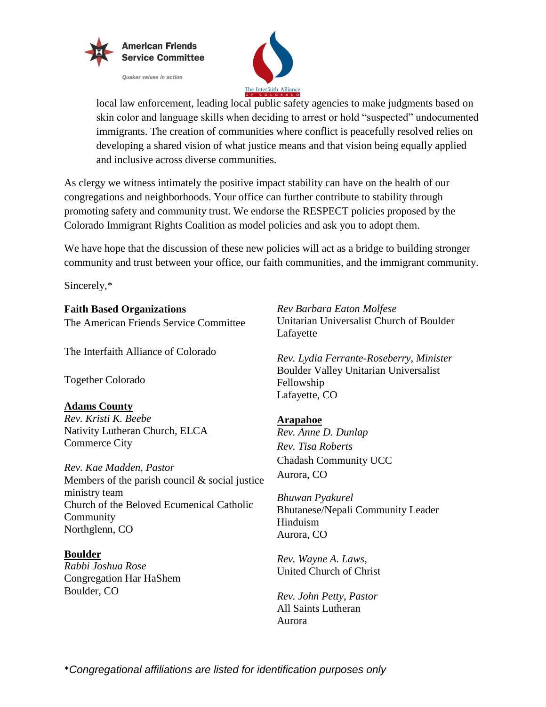



local law enforcement, leading local public safety agencies to make judgments based on skin color and language skills when deciding to arrest or hold "suspected" undocumented immigrants. The creation of communities where conflict is peacefully resolved relies on developing a shared vision of what justice means and that vision being equally applied and inclusive across diverse communities.

As clergy we witness intimately the positive impact stability can have on the health of our congregations and neighborhoods. Your office can further contribute to stability through promoting safety and community trust. We endorse the RESPECT policies proposed by the Colorado Immigrant Rights Coalition as model policies and ask you to adopt them.

We have hope that the discussion of these new policies will act as a bridge to building stronger community and trust between your office, our faith communities, and the immigrant community.

Sincerely,\*

**Faith Based Organizations** The American Friends Service Committee

The Interfaith Alliance of Colorado

Together Colorado

# **Adams County**

*Rev. Kristi K. Beebe* Nativity Lutheran Church, ELCA Commerce City

*Rev. Kae Madden, Pastor* Members of the parish council & social justice ministry team Church of the Beloved Ecumenical Catholic Community Northglenn, CO

**Boulder** *Rabbi Joshua Rose* Congregation Har HaShem Boulder, CO

*Rev Barbara Eaton Molfese* Unitarian Universalist Church of Boulder Lafayette

*Rev. Lydia Ferrante-Roseberry, Minister* Boulder Valley Unitarian Universalist Fellowship Lafayette, CO

## **Arapahoe**

*Rev. Anne D. Dunlap Rev. Tisa Roberts* Chadash Community UCC Aurora, CO

*Bhuwan Pyakurel* Bhutanese/Nepali Community Leader Hinduism Aurora, CO

*Rev. Wayne A. Laws*, United Church of Christ

*Rev. John Petty*, *Pastor* All Saints Lutheran Aurora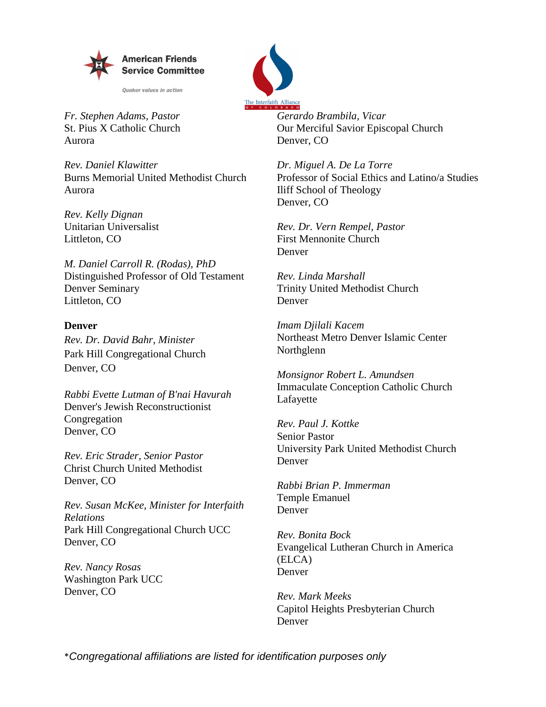

**Ouaker values in action** 



*Fr. Stephen Adams, Pastor* St. Pius X Catholic Church Aurora

*Rev. Daniel Klawitter* Burns Memorial United Methodist Church Aurora

*Rev. Kelly Dignan* Unitarian Universalist Littleton, CO

*M. Daniel Carroll R. (Rodas), PhD* Distinguished Professor of Old Testament Denver Seminary Littleton, CO

#### **Denver**

*Rev. Dr. David Bahr, Minister* Park Hill Congregational Church Denver, CO

*Rabbi Evette Lutman of B'nai Havurah* Denver's Jewish Reconstructionist Congregation Denver, CO

*Rev. Eric Strader, Senior Pastor* Christ Church United Methodist Denver, CO

*Rev. Susan McKee, Minister for Interfaith Relations* Park Hill Congregational Church UCC Denver, CO

*Rev. Nancy Rosas* Washington Park UCC Denver, CO

*Gerardo Brambila, Vicar* Our Merciful Savior Episcopal Church Denver, CO

*Dr. Miguel A. De La Torre* Professor of Social Ethics and Latino/a Studies Iliff School of Theology Denver, CO

*Rev. Dr. Vern Rempel, Pastor* First Mennonite Church Denver

*Rev. Linda Marshall* Trinity United Methodist Church Denver

*Imam Djilali Kacem* Northeast Metro Denver Islamic Center Northglenn

*Monsignor Robert L. Amundsen* Immaculate Conception Catholic Church Lafayette

*Rev. Paul J. Kottke* Senior Pastor University Park United Methodist Church Denver

*Rabbi Brian P. Immerman* Temple Emanuel Denver

*Rev. Bonita Bock* Evangelical Lutheran Church in America (ELCA) Denver

*Rev. Mark Meeks* Capitol Heights Presbyterian Church Denver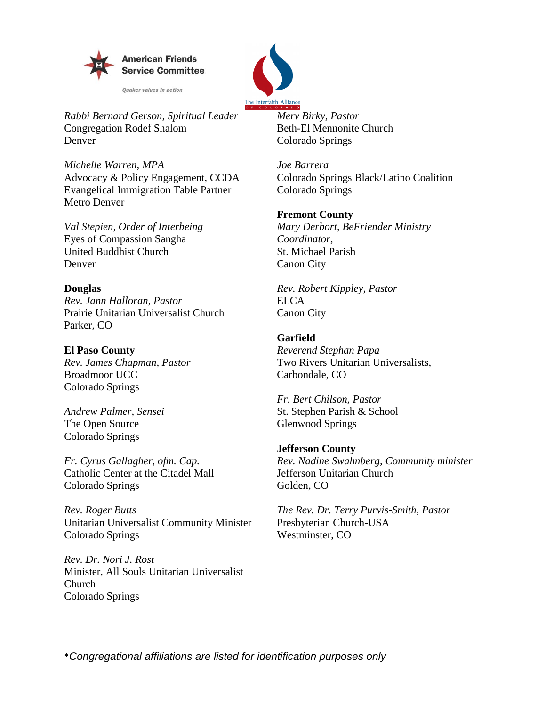

**Ouaker values in action** 



 *Rabbi Bernard Gerson, Spiritual Leader* Congregation Rodef Shalom Denver

*Michelle Warren, MPA* Advocacy & Policy Engagement, CCDA Evangelical Immigration Table Partner Metro Denver

*Val Stepien, Order of Interbeing* Eyes of Compassion Sangha United Buddhist Church Denver

## **Douglas**

*Rev. Jann Halloran, Pastor*  Prairie Unitarian Universalist Church Parker, CO

**El Paso County** *Rev. James Chapman, Pastor* Broadmoor UCC Colorado Springs

*Andrew Palmer, Sensei*  The Open Source Colorado Springs

*Fr. Cyrus Gallagher, ofm. Cap.* Catholic Center at the Citadel Mall Colorado Springs

*Rev. Roger Butts* Unitarian Universalist Community Minister Colorado Springs

*Rev. Dr. Nori J. Rost* Minister, All Souls Unitarian Universalist Church Colorado Springs

*Merv Birky, Pastor* Beth-El Mennonite Church Colorado Springs

*Joe Barrera* Colorado Springs Black/Latino Coalition Colorado Springs

# **Fremont County**

*Mary Derbort, BeFriender Ministry Coordinator,*  St. Michael Parish Canon City

*Rev. Robert Kippley, Pastor*  ELCA Canon City

# **Garfield**

*Reverend Stephan Papa*  Two Rivers Unitarian Universalists, Carbondale, CO

*Fr. Bert Chilson, Pastor* St. Stephen Parish & School Glenwood Springs

# **Jefferson County**

*Rev. Nadine Swahnberg, Community minister* Jefferson Unitarian Church Golden, CO

*The Rev. Dr. Terry Purvis-Smith, Pastor* Presbyterian Church-USA Westminster, CO